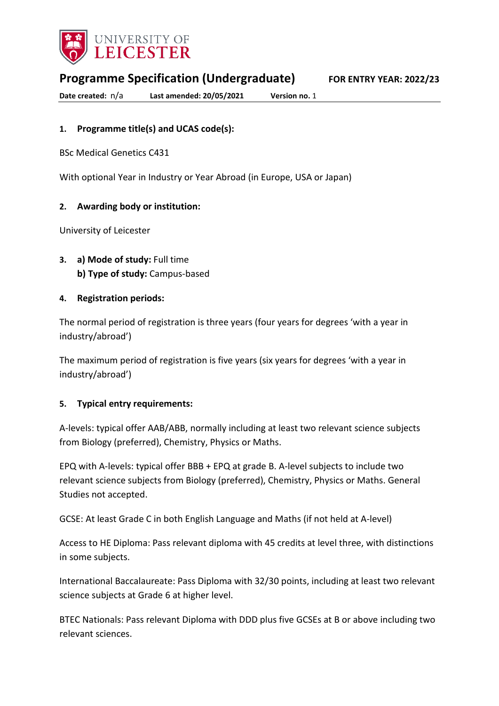

**Programme Specification (Undergraduate) FOR ENTRY YEAR: 2022/23**

**Date created:** n/a **Last amended: 20/05/2021 Version no.** 1

# **1. Programme title(s) and UCAS code(s):**

BSc Medical Genetics C431

With optional Year in Industry or Year Abroad (in Europe, USA or Japan)

## **2. Awarding body or institution:**

University of Leicester

**3. a) Mode of study:** Full time **b) Type of study:** Campus-based

## **4. Registration periods:**

The normal period of registration is three years (four years for degrees 'with a year in industry/abroad')

The maximum period of registration is five years (six years for degrees 'with a year in industry/abroad')

#### **5. Typical entry requirements:**

A-levels: typical offer AAB/ABB, normally including at least two relevant science subjects from Biology (preferred), Chemistry, Physics or Maths.

EPQ with A-levels: typical offer BBB + EPQ at grade B. A-level subjects to include two relevant science subjects from Biology (preferred), Chemistry, Physics or Maths. General Studies not accepted.

GCSE: At least Grade C in both English Language and Maths (if not held at A-level)

Access to HE Diploma: Pass relevant diploma with 45 credits at level three, with distinctions in some subjects.

International Baccalaureate: Pass Diploma with 32/30 points, including at least two relevant science subjects at Grade 6 at higher level.

BTEC Nationals: Pass relevant Diploma with DDD plus five GCSEs at B or above including two relevant sciences.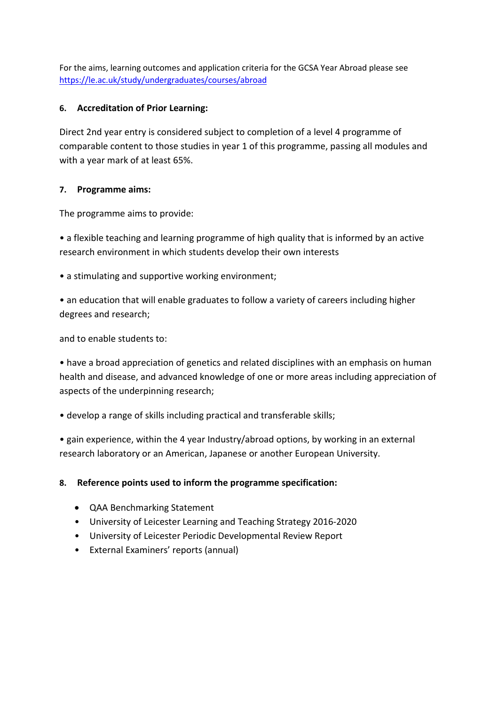For the aims, learning outcomes and application criteria for the GCSA Year Abroad please see <https://le.ac.uk/study/undergraduates/courses/abroad>

## **6. Accreditation of Prior Learning:**

Direct 2nd year entry is considered subject to completion of a level 4 programme of comparable content to those studies in year 1 of this programme, passing all modules and with a year mark of at least 65%.

## **7. Programme aims:**

The programme aims to provide:

• a flexible teaching and learning programme of high quality that is informed by an active research environment in which students develop their own interests

• a stimulating and supportive working environment;

• an education that will enable graduates to follow a variety of careers including higher degrees and research;

and to enable students to:

• have a broad appreciation of genetics and related disciplines with an emphasis on human health and disease, and advanced knowledge of one or more areas including appreciation of aspects of the underpinning research;

• develop a range of skills including practical and transferable skills;

• gain experience, within the 4 year Industry/abroad options, by working in an external research laboratory or an American, Japanese or another European University.

## **8. Reference points used to inform the programme specification:**

- QAA Benchmarking Statement
- University of Leicester Learning and Teaching Strategy 2016-2020
- University of Leicester Periodic Developmental Review Report
- External Examiners' reports (annual)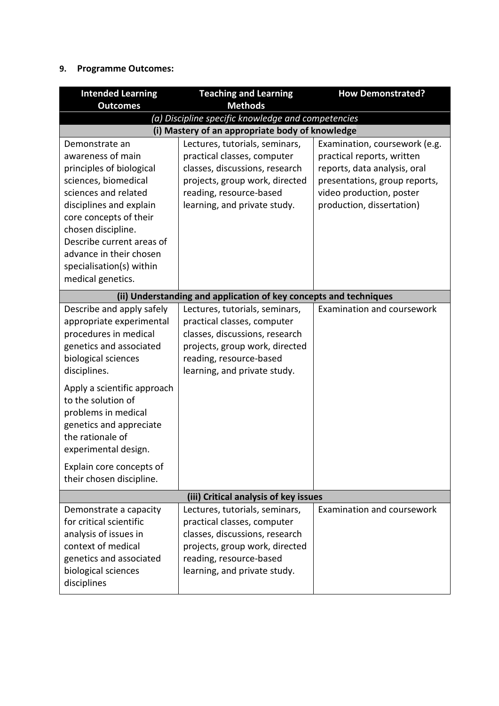# **9. Programme Outcomes:**

| <b>Intended Learning</b>                                                                                                                                                                                                                                                                                                                                    | <b>Teaching and Learning</b>                                                                                                                                                                 | <b>How Demonstrated?</b>                                                                                                                                                              |
|-------------------------------------------------------------------------------------------------------------------------------------------------------------------------------------------------------------------------------------------------------------------------------------------------------------------------------------------------------------|----------------------------------------------------------------------------------------------------------------------------------------------------------------------------------------------|---------------------------------------------------------------------------------------------------------------------------------------------------------------------------------------|
| <b>Outcomes</b>                                                                                                                                                                                                                                                                                                                                             | <b>Methods</b>                                                                                                                                                                               |                                                                                                                                                                                       |
| (a) Discipline specific knowledge and competencies                                                                                                                                                                                                                                                                                                          |                                                                                                                                                                                              |                                                                                                                                                                                       |
|                                                                                                                                                                                                                                                                                                                                                             | (i) Mastery of an appropriate body of knowledge                                                                                                                                              |                                                                                                                                                                                       |
| Demonstrate an<br>awareness of main<br>principles of biological<br>sciences, biomedical<br>sciences and related<br>disciplines and explain<br>core concepts of their<br>chosen discipline.<br>Describe current areas of<br>advance in their chosen                                                                                                          | Lectures, tutorials, seminars,<br>practical classes, computer<br>classes, discussions, research<br>projects, group work, directed<br>reading, resource-based<br>learning, and private study. | Examination, coursework (e.g.<br>practical reports, written<br>reports, data analysis, oral<br>presentations, group reports,<br>video production, poster<br>production, dissertation) |
| specialisation(s) within<br>medical genetics.                                                                                                                                                                                                                                                                                                               |                                                                                                                                                                                              |                                                                                                                                                                                       |
|                                                                                                                                                                                                                                                                                                                                                             | (ii) Understanding and application of key concepts and techniques                                                                                                                            |                                                                                                                                                                                       |
| Describe and apply safely<br>appropriate experimental<br>procedures in medical<br>genetics and associated<br>biological sciences<br>disciplines.<br>Apply a scientific approach<br>to the solution of<br>problems in medical<br>genetics and appreciate<br>the rationale of<br>experimental design.<br>Explain core concepts of<br>their chosen discipline. | Lectures, tutorials, seminars,<br>practical classes, computer<br>classes, discussions, research<br>projects, group work, directed<br>reading, resource-based<br>learning, and private study. | Examination and coursework                                                                                                                                                            |
| (iii) Critical analysis of key issues                                                                                                                                                                                                                                                                                                                       |                                                                                                                                                                                              |                                                                                                                                                                                       |
| Demonstrate a capacity<br>for critical scientific<br>analysis of issues in<br>context of medical<br>genetics and associated<br>biological sciences<br>disciplines                                                                                                                                                                                           | Lectures, tutorials, seminars,<br>practical classes, computer<br>classes, discussions, research<br>projects, group work, directed<br>reading, resource-based<br>learning, and private study. | Examination and coursework                                                                                                                                                            |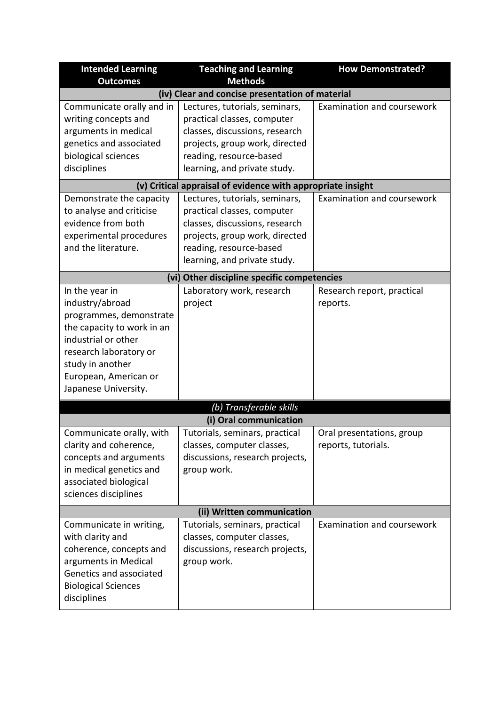| <b>Intended Learning</b>                        | <b>Teaching and Learning</b>                                | <b>How Demonstrated?</b>   |
|-------------------------------------------------|-------------------------------------------------------------|----------------------------|
| <b>Outcomes</b>                                 | <b>Methods</b>                                              |                            |
| (iv) Clear and concise presentation of material |                                                             |                            |
| Communicate orally and in                       | Lectures, tutorials, seminars,                              | Examination and coursework |
| writing concepts and                            | practical classes, computer                                 |                            |
| arguments in medical                            | classes, discussions, research                              |                            |
| genetics and associated                         | projects, group work, directed                              |                            |
| biological sciences                             | reading, resource-based                                     |                            |
| disciplines                                     | learning, and private study.                                |                            |
|                                                 | (v) Critical appraisal of evidence with appropriate insight |                            |
| Demonstrate the capacity                        | Lectures, tutorials, seminars,                              | Examination and coursework |
| to analyse and criticise                        | practical classes, computer                                 |                            |
| evidence from both                              | classes, discussions, research                              |                            |
| experimental procedures                         | projects, group work, directed                              |                            |
| and the literature.                             | reading, resource-based                                     |                            |
|                                                 | learning, and private study.                                |                            |
|                                                 | (vi) Other discipline specific competencies                 |                            |
| In the year in                                  | Laboratory work, research                                   | Research report, practical |
| industry/abroad                                 | project                                                     | reports.                   |
| programmes, demonstrate                         |                                                             |                            |
| the capacity to work in an                      |                                                             |                            |
| industrial or other                             |                                                             |                            |
| research laboratory or                          |                                                             |                            |
| study in another                                |                                                             |                            |
| European, American or                           |                                                             |                            |
| Japanese University.                            |                                                             |                            |
|                                                 | (b) Transferable skills                                     |                            |
|                                                 | (i) Oral communication                                      |                            |
| Communicate orally, with                        | Tutorials, seminars, practical                              | Oral presentations, group  |
| clarity and coherence,                          | classes, computer classes,                                  | reports, tutorials.        |
| concepts and arguments                          | discussions, research projects,                             |                            |
| in medical genetics and                         | group work.                                                 |                            |
| associated biological                           |                                                             |                            |
| sciences disciplines                            |                                                             |                            |
| (ii) Written communication                      |                                                             |                            |
| Communicate in writing,                         | Tutorials, seminars, practical                              | Examination and coursework |
| with clarity and                                | classes, computer classes,                                  |                            |
| coherence, concepts and                         | discussions, research projects,                             |                            |
| arguments in Medical                            | group work.                                                 |                            |
| Genetics and associated                         |                                                             |                            |
| <b>Biological Sciences</b>                      |                                                             |                            |
| disciplines                                     |                                                             |                            |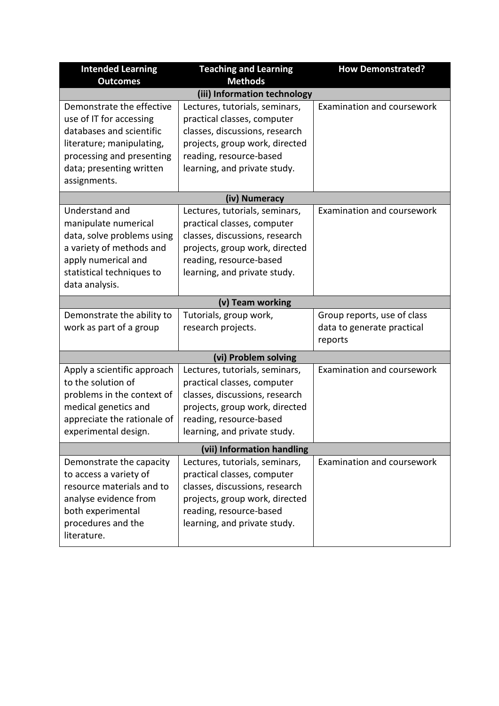| <b>Intended Learning</b>                 | <b>Teaching and Learning</b>   | <b>How Demonstrated?</b>          |  |
|------------------------------------------|--------------------------------|-----------------------------------|--|
| <b>Outcomes</b>                          | <b>Methods</b>                 |                                   |  |
|                                          | (iii) Information technology   |                                   |  |
| Demonstrate the effective                | Lectures, tutorials, seminars, | Examination and coursework        |  |
| use of IT for accessing                  | practical classes, computer    |                                   |  |
| databases and scientific                 | classes, discussions, research |                                   |  |
| literature; manipulating,                | projects, group work, directed |                                   |  |
| processing and presenting                | reading, resource-based        |                                   |  |
| data; presenting written<br>assignments. | learning, and private study.   |                                   |  |
|                                          |                                |                                   |  |
|                                          | (iv) Numeracy                  |                                   |  |
| Understand and                           | Lectures, tutorials, seminars, | Examination and coursework        |  |
| manipulate numerical                     | practical classes, computer    |                                   |  |
| data, solve problems using               | classes, discussions, research |                                   |  |
| a variety of methods and                 | projects, group work, directed |                                   |  |
| apply numerical and                      | reading, resource-based        |                                   |  |
| statistical techniques to                | learning, and private study.   |                                   |  |
| data analysis.                           |                                |                                   |  |
|                                          | (v) Team working               |                                   |  |
| Demonstrate the ability to               | Tutorials, group work,         | Group reports, use of class       |  |
| work as part of a group                  | research projects.             | data to generate practical        |  |
|                                          |                                | reports                           |  |
| (vi) Problem solving                     |                                |                                   |  |
| Apply a scientific approach              | Lectures, tutorials, seminars, | Examination and coursework        |  |
| to the solution of                       | practical classes, computer    |                                   |  |
| problems in the context of               | classes, discussions, research |                                   |  |
| medical genetics and                     | projects, group work, directed |                                   |  |
| appreciate the rationale of              | reading, resource-based        |                                   |  |
| experimental design.                     | learning, and private study.   |                                   |  |
| (vii) Information handling               |                                |                                   |  |
| Demonstrate the capacity                 | Lectures, tutorials, seminars, | <b>Examination and coursework</b> |  |
| to access a variety of                   | practical classes, computer    |                                   |  |
| resource materials and to                | classes, discussions, research |                                   |  |
| analyse evidence from                    | projects, group work, directed |                                   |  |
| both experimental                        | reading, resource-based        |                                   |  |
| procedures and the                       | learning, and private study.   |                                   |  |
| literature.                              |                                |                                   |  |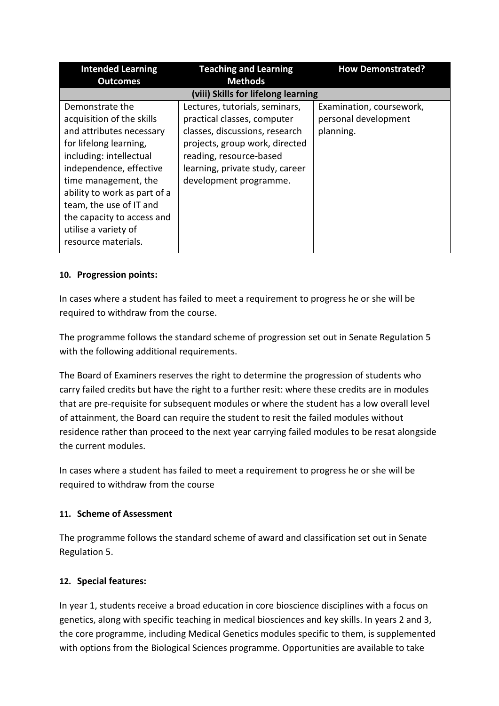| <b>Intended Learning</b>                                                                                                                                                                                                                                                                                                 | <b>Teaching and Learning</b>                                                                                                                                                                                              | <b>How Demonstrated?</b>                                      |
|--------------------------------------------------------------------------------------------------------------------------------------------------------------------------------------------------------------------------------------------------------------------------------------------------------------------------|---------------------------------------------------------------------------------------------------------------------------------------------------------------------------------------------------------------------------|---------------------------------------------------------------|
| <b>Outcomes</b>                                                                                                                                                                                                                                                                                                          | <b>Methods</b>                                                                                                                                                                                                            |                                                               |
|                                                                                                                                                                                                                                                                                                                          | (viii) Skills for lifelong learning                                                                                                                                                                                       |                                                               |
| Demonstrate the<br>acquisition of the skills<br>and attributes necessary<br>for lifelong learning,<br>including: intellectual<br>independence, effective<br>time management, the<br>ability to work as part of a<br>team, the use of IT and<br>the capacity to access and<br>utilise a variety of<br>resource materials. | Lectures, tutorials, seminars,<br>practical classes, computer<br>classes, discussions, research<br>projects, group work, directed<br>reading, resource-based<br>learning, private study, career<br>development programme. | Examination, coursework,<br>personal development<br>planning. |

# **10. Progression points:**

In cases where a student has failed to meet a requirement to progress he or she will be required to withdraw from the course.

The programme follows the standard scheme of progression set out in Senate Regulation 5 with the following additional requirements.

The Board of Examiners reserves the right to determine the progression of students who carry failed credits but have the right to a further resit: where these credits are in modules that are pre-requisite for subsequent modules or where the student has a low overall level of attainment, the Board can require the student to resit the failed modules without residence rather than proceed to the next year carrying failed modules to be resat alongside the current modules.

In cases where a student has failed to meet a requirement to progress he or she will be required to withdraw from the course

# **11. Scheme of Assessment**

The programme follows the standard scheme of award and classification set out in Senate Regulation 5.

# **12. Special features:**

In year 1, students receive a broad education in core bioscience disciplines with a focus on genetics, along with specific teaching in medical biosciences and key skills. In years 2 and 3, the core programme, including Medical Genetics modules specific to them, is supplemented with options from the Biological Sciences programme. Opportunities are available to take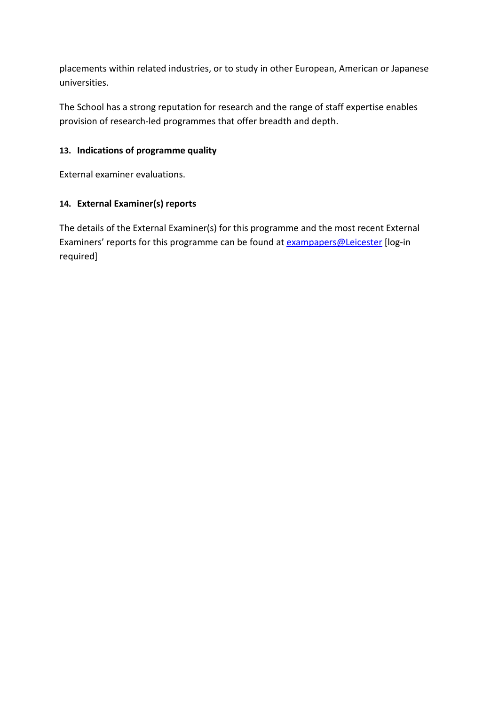placements within related industries, or to study in other European, American or Japanese universities.

The School has a strong reputation for research and the range of staff expertise enables provision of research-led programmes that offer breadth and depth.

# **13. Indications of programme quality**

External examiner evaluations.

# **14. External Examiner(s) reports**

The details of the External Examiner(s) for this programme and the most recent External Examiners' reports for this programme can be found at **exampapers@Leicester** [log-in required]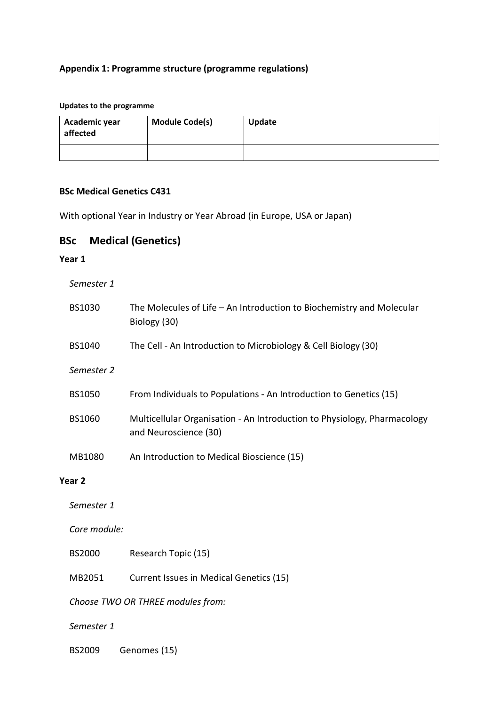## **Appendix 1: Programme structure (programme regulations)**

#### **Updates to the programme**

| Academic year<br>affected | <b>Module Code(s)</b> | Update |
|---------------------------|-----------------------|--------|
|                           |                       |        |

## **BSc Medical Genetics C431**

With optional Year in Industry or Year Abroad (in Europe, USA or Japan)

# **BSc Medical (Genetics)**

#### **Year 1**

| Semester 1 |
|------------|
|------------|

| BS1030                            | The Molecules of Life - An Introduction to Biochemistry and Molecular<br>Biology (30)             |  |
|-----------------------------------|---------------------------------------------------------------------------------------------------|--|
| BS1040                            | The Cell - An Introduction to Microbiology & Cell Biology (30)                                    |  |
| Semester 2                        |                                                                                                   |  |
| <b>BS1050</b>                     | From Individuals to Populations - An Introduction to Genetics (15)                                |  |
| BS1060                            | Multicellular Organisation - An Introduction to Physiology, Pharmacology<br>and Neuroscience (30) |  |
| MB1080                            | An Introduction to Medical Bioscience (15)                                                        |  |
| Year <sub>2</sub>                 |                                                                                                   |  |
| Semester 1                        |                                                                                                   |  |
| Core module:                      |                                                                                                   |  |
| <b>BS2000</b>                     | Research Topic (15)                                                                               |  |
| MB2051                            | Current Issues in Medical Genetics (15)                                                           |  |
| Choose TWO OR THREE modules from: |                                                                                                   |  |
| Semester 1                        |                                                                                                   |  |
| <b>BS2009</b>                     | Genomes (15)                                                                                      |  |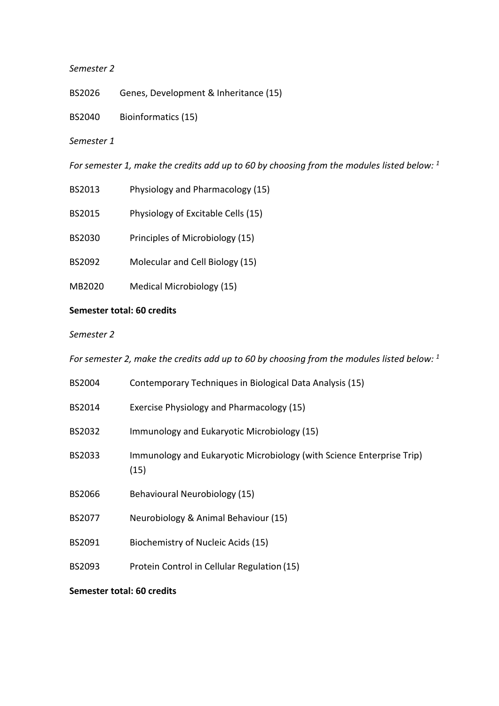#### *Semester 2*

- BS2026 Genes, Development & Inheritance (15)
- BS2040 Bioinformatics (15)

#### *Semester 1*

*For semester 1, make the credits add up to 60 by choosing from the modules listed below: 1*

- BS2013 Physiology and Pharmacology (15)
- BS2015 Physiology of Excitable Cells (15)
- BS2030 Principles of Microbiology (15)
- BS2092 Molecular and Cell Biology (15)
- MB2020 Medical Microbiology (15)

## **Semester total: 60 credits**

#### *Semester 2*

*For semester 2, make the credits add up to 60 by choosing from the modules listed below: 1*

| <b>BS2004</b> | Contemporary Techniques in Biological Data Analysis (15)                      |  |
|---------------|-------------------------------------------------------------------------------|--|
| BS2014        | Exercise Physiology and Pharmacology (15)                                     |  |
| BS2032        | Immunology and Eukaryotic Microbiology (15)                                   |  |
| BS2033        | Immunology and Eukaryotic Microbiology (with Science Enterprise Trip)<br>(15) |  |
| <b>BS2066</b> | Behavioural Neurobiology (15)                                                 |  |
| BS2077        | Neurobiology & Animal Behaviour (15)                                          |  |
| BS2091        | Biochemistry of Nucleic Acids (15)                                            |  |
| BS2093        | Protein Control in Cellular Regulation (15)                                   |  |
|               |                                                                               |  |

#### **Semester total: 60 credits**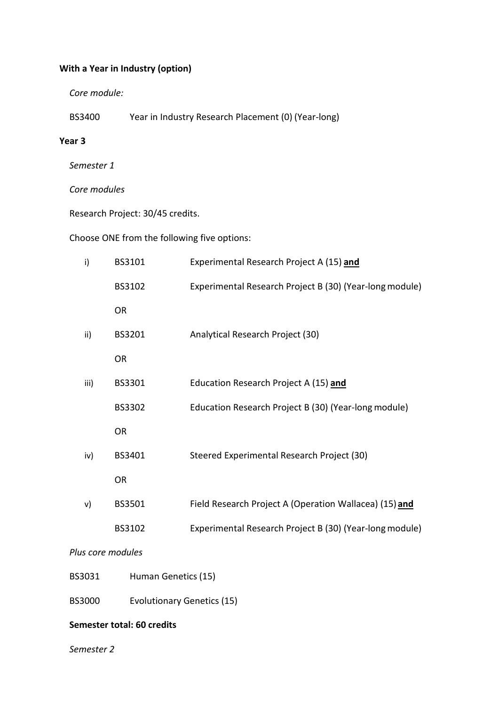## **With a Year in Industry (option)**

*Core module:*

BS3400 Year in Industry Research Placement (0) (Year-long)

#### **Year 3**

*Semester 1*

*Core modules*

Research Project: 30/45 credits.

Choose ONE from the following five options:

| i)   | BS3101    | Experimental Research Project A (15) and                |
|------|-----------|---------------------------------------------------------|
|      | BS3102    | Experimental Research Project B (30) (Year-long module) |
|      | <b>OR</b> |                                                         |
| ii)  | BS3201    | Analytical Research Project (30)                        |
|      | <b>OR</b> |                                                         |
| iii) | BS3301    | Education Research Project A (15) and                   |
|      | BS3302    | Education Research Project B (30) (Year-long module)    |
|      | <b>OR</b> |                                                         |
| iv)  | BS3401    | Steered Experimental Research Project (30)              |
|      | OR.       |                                                         |
| v)   | BS3501    | Field Research Project A (Operation Wallacea) (15) and  |
|      | BS3102    | Experimental Research Project B (30) (Year-long module) |
|      |           |                                                         |

*Plus core modules*

BS3031 Human Genetics (15)

BS3000 Evolutionary Genetics (15)

#### **Semester total: 60 credits**

*Semester 2*